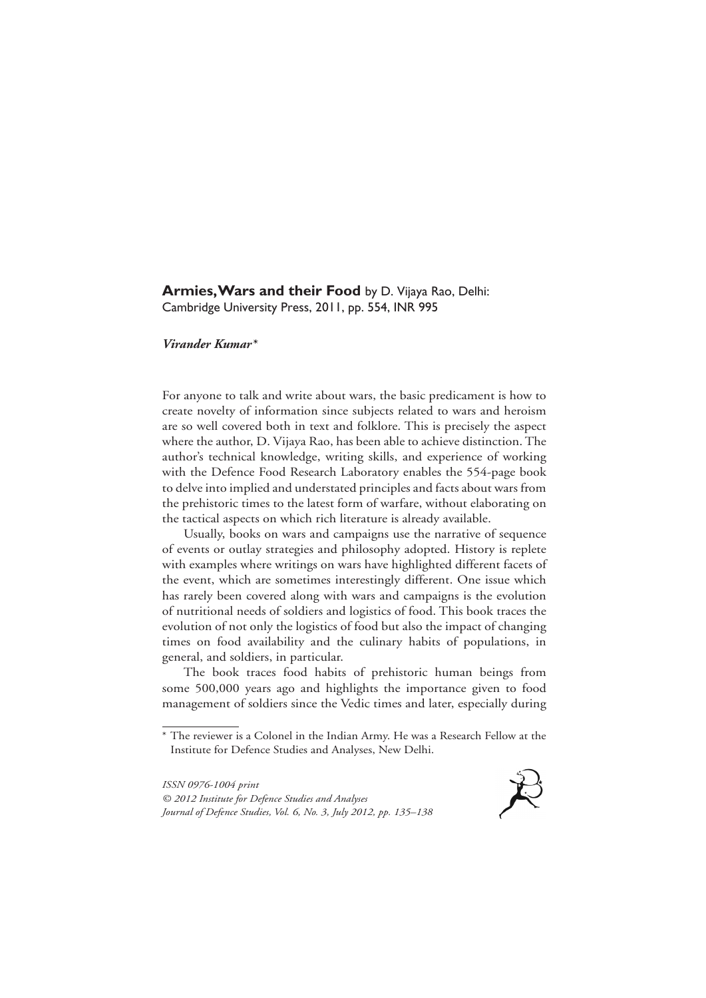## **Armies, Wars and their Food** by D. Vijaya Rao, Delhi: Cambridge University Press, 2011, pp. 554, INR 995

## *Virander Kumar\**

For anyone to talk and write about wars, the basic predicament is how to create novelty of information since subjects related to wars and heroism are so well covered both in text and folklore. This is precisely the aspect where the author, D. Vijaya Rao, has been able to achieve distinction. The author's technical knowledge, writing skills, and experience of working with the Defence Food Research Laboratory enables the 554-page book to delve into implied and understated principles and facts about wars from the prehistoric times to the latest form of warfare, without elaborating on the tactical aspects on which rich literature is already available.

Usually, books on wars and campaigns use the narrative of sequence of events or outlay strategies and philosophy adopted. History is replete with examples where writings on wars have highlighted different facets of the event, which are sometimes interestingly different. One issue which has rarely been covered along with wars and campaigns is the evolution of nutritional needs of soldiers and logistics of food. This book traces the evolution of not only the logistics of food but also the impact of changing times on food availability and the culinary habits of populations, in general, and soldiers, in particular.

The book traces food habits of prehistoric human beings from some 500,000 years ago and highlights the importance given to food management of soldiers since the Vedic times and later, especially during

*ISSN 0976-1004 print © 2012 Institute for Defence Studies and Analyses Journal of Defence Studies, Vol. 6, No. 3, July 2012, pp. 135–138*



<sup>\*</sup> The reviewer is a Colonel in the Indian Army. He was a Research Fellow at the Institute for Defence Studies and Analyses, New Delhi.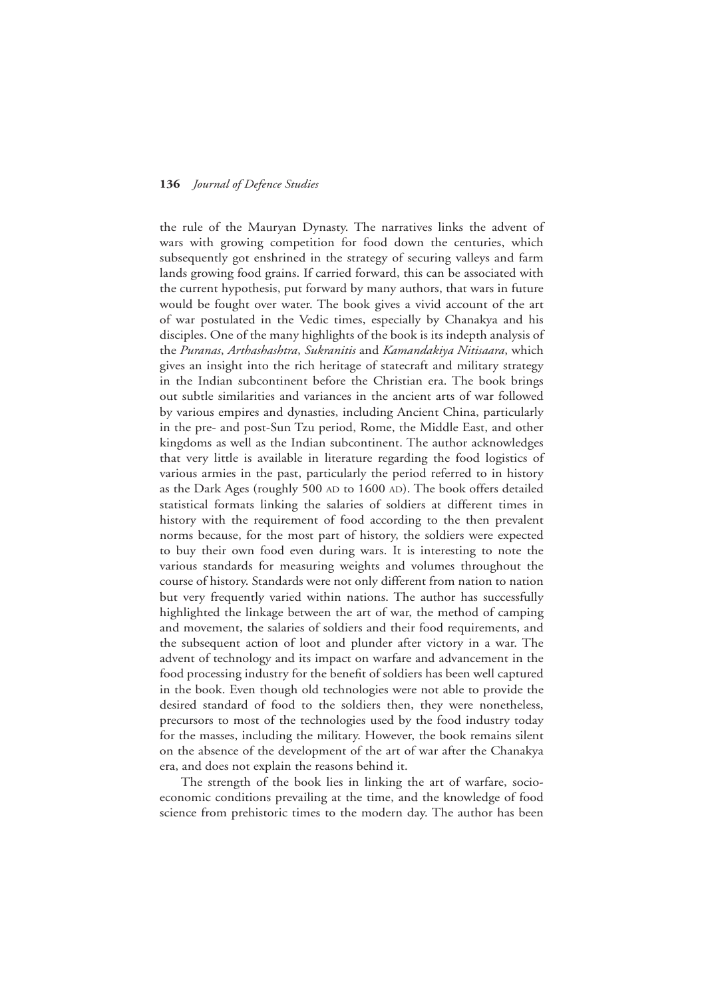## **136** *Journal of Defence Studies*

the rule of the Mauryan Dynasty. The narratives links the advent of wars with growing competition for food down the centuries, which subsequently got enshrined in the strategy of securing valleys and farm lands growing food grains. If carried forward, this can be associated with the current hypothesis, put forward by many authors, that wars in future would be fought over water. The book gives a vivid account of the art of war postulated in the Vedic times, especially by Chanakya and his disciples. One of the many highlights of the book is its indepth analysis of the *Puranas*, *Arthashashtra*, *Sukranitis* and *Kamandakiya Nitisaara*, which gives an insight into the rich heritage of statecraft and military strategy in the Indian subcontinent before the Christian era. The book brings out subtle similarities and variances in the ancient arts of war followed by various empires and dynasties, including Ancient China, particularly in the pre- and post-Sun Tzu period, Rome, the Middle East, and other kingdoms as well as the Indian subcontinent. The author acknowledges that very little is available in literature regarding the food logistics of various armies in the past, particularly the period referred to in history as the Dark Ages (roughly 500 AD to 1600 AD). The book offers detailed statistical formats linking the salaries of soldiers at different times in history with the requirement of food according to the then prevalent norms because, for the most part of history, the soldiers were expected to buy their own food even during wars. It is interesting to note the various standards for measuring weights and volumes throughout the course of history. Standards were not only different from nation to nation but very frequently varied within nations. The author has successfully highlighted the linkage between the art of war, the method of camping and movement, the salaries of soldiers and their food requirements, and the subsequent action of loot and plunder after victory in a war. The advent of technology and its impact on warfare and advancement in the food processing industry for the benefit of soldiers has been well captured in the book. Even though old technologies were not able to provide the desired standard of food to the soldiers then, they were nonetheless, precursors to most of the technologies used by the food industry today for the masses, including the military. However, the book remains silent on the absence of the development of the art of war after the Chanakya era, and does not explain the reasons behind it.

The strength of the book lies in linking the art of warfare, socioeconomic conditions prevailing at the time, and the knowledge of food science from prehistoric times to the modern day. The author has been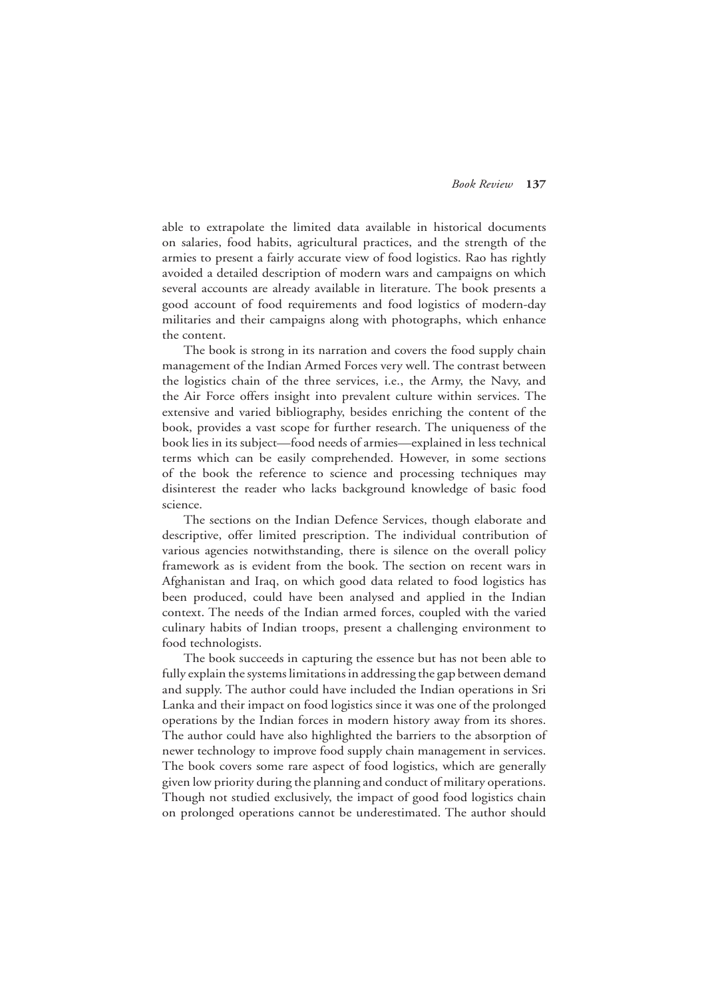able to extrapolate the limited data available in historical documents on salaries, food habits, agricultural practices, and the strength of the armies to present a fairly accurate view of food logistics. Rao has rightly avoided a detailed description of modern wars and campaigns on which several accounts are already available in literature. The book presents a good account of food requirements and food logistics of modern-day militaries and their campaigns along with photographs, which enhance the content.

The book is strong in its narration and covers the food supply chain management of the Indian Armed Forces very well. The contrast between the logistics chain of the three services, i.e., the Army, the Navy, and the Air Force offers insight into prevalent culture within services. The extensive and varied bibliography, besides enriching the content of the book, provides a vast scope for further research. The uniqueness of the book lies in its subject—food needs of armies—explained in less technical terms which can be easily comprehended. However, in some sections of the book the reference to science and processing techniques may disinterest the reader who lacks background knowledge of basic food science.

The sections on the Indian Defence Services, though elaborate and descriptive, offer limited prescription. The individual contribution of various agencies notwithstanding, there is silence on the overall policy framework as is evident from the book. The section on recent wars in Afghanistan and Iraq, on which good data related to food logistics has been produced, could have been analysed and applied in the Indian context. The needs of the Indian armed forces, coupled with the varied culinary habits of Indian troops, present a challenging environment to food technologists.

The book succeeds in capturing the essence but has not been able to fully explain the systems limitations in addressing the gap between demand and supply. The author could have included the Indian operations in Sri Lanka and their impact on food logistics since it was one of the prolonged operations by the Indian forces in modern history away from its shores. The author could have also highlighted the barriers to the absorption of newer technology to improve food supply chain management in services. The book covers some rare aspect of food logistics, which are generally given low priority during the planning and conduct of military operations. Though not studied exclusively, the impact of good food logistics chain on prolonged operations cannot be underestimated. The author should